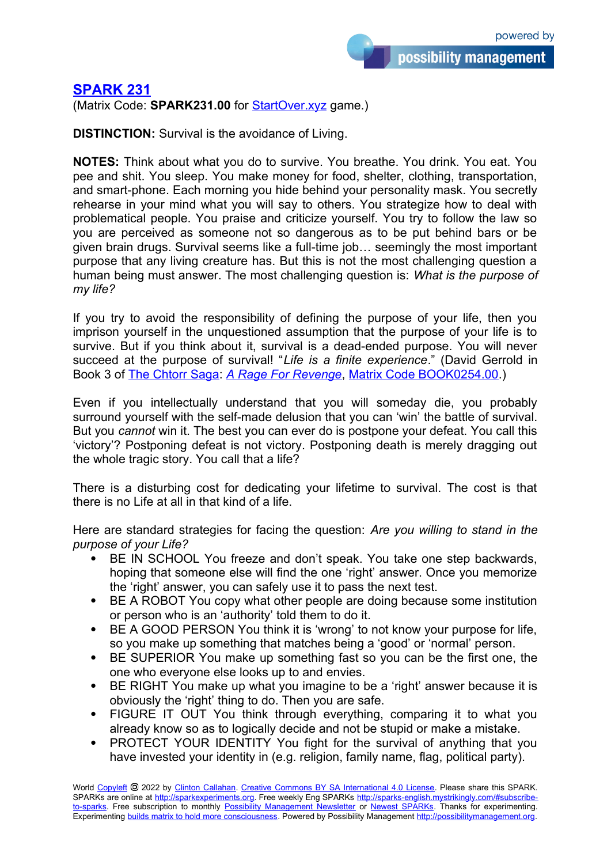possibility management

**[SPARK 231](https://sparks-english.mystrikingly.com/)**

(Matrix Code: **SPARK231.00** for [StartOver.xyz](http://startoverxyz.mystrikingly.com/) game.)

**DISTINCTION:** Survival is the avoidance of Living.

**NOTES:** Think about what you do to survive. You breathe. You drink. You eat. You pee and shit. You sleep. You make money for food, shelter, clothing, transportation, and smart-phone. Each morning you hide behind your personality mask. You secretly rehearse in your mind what you will say to others. You strategize how to deal with problematical people. You praise and criticize yourself. You try to follow the law so you are perceived as someone not so dangerous as to be put behind bars or be given brain drugs. Survival seems like a full-time job… seemingly the most important purpose that any living creature has. But this is not the most challenging question a human being must answer. The most challenging question is: *What is the purpose of my life?*

If you try to avoid the responsibility of defining the purpose of your life, then you imprison yourself in the unquestioned assumption that the purpose of your life is to survive. But if you think about it, survival is a dead-ended purpose. You will never succeed at the purpose of survival! "*Life is a finite experience*." (David Gerrold in Book 3 of [The Chtorr Saga:](http://possibilitybooks.mystrikingly.com/#fiction-books) *[A Rage For Revenge](https://www.amazon.com/Rage-Revenge-Against-Chtorr-Book/dp/0553278444/)*, [Matrix Code BOOK0254.00](http://startoverxyz.mystrikingly.com/).)

Even if you intellectually understand that you will someday die, you probably surround yourself with the self-made delusion that you can 'win' the battle of survival. But you *cannot* win it. The best you can ever do is postpone your defeat. You call this 'victory'? Postponing defeat is not victory. Postponing death is merely dragging out the whole tragic story. You call that a life?

There is a disturbing cost for dedicating your lifetime to survival. The cost is that there is no Life at all in that kind of a life.

Here are standard strategies for facing the question: *Are you willing to stand in the purpose of your Life?*

- BE IN SCHOOL You freeze and don't speak. You take one step backwards, hoping that someone else will find the one 'right' answer. Once you memorize the 'right' answer, you can safely use it to pass the next test.
- BE A ROBOT You copy what other people are doing because some institution or person who is an 'authority' told them to do it.
- BE A GOOD PERSON You think it is 'wrong' to not know your purpose for life, so you make up something that matches being a 'good' or 'normal' person.
- BE SUPERIOR You make up something fast so you can be the first one, the one who everyone else looks up to and envies.
- BE RIGHT You make up what you imagine to be a 'right' answer because it is obviously the 'right' thing to do. Then you are safe.
- FIGURE IT OUT You think through everything, comparing it to what you already know so as to logically decide and not be stupid or make a mistake.
- PROTECT YOUR IDENTITY You fight for the survival of anything that you have invested your identity in (e.g. religion, family name, flag, political party).